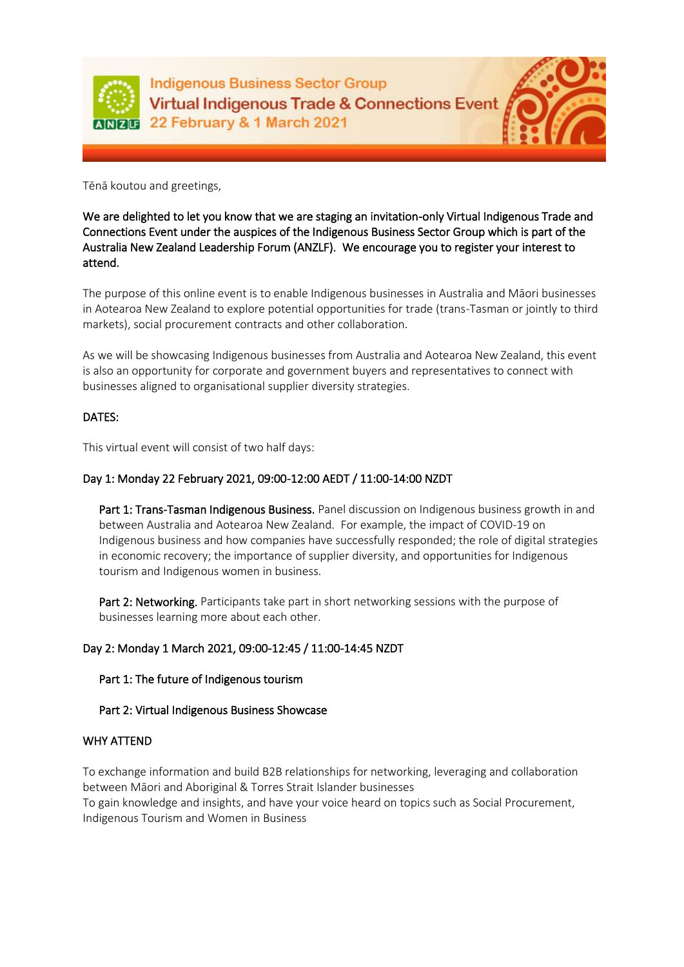

**Indigenous Business Sector Group Virtual Indigenous Trade & Connections Event ANRE 22 February & 1 March 2021** 



Tēnā koutou and greetings,

We are delighted to let you know that we are staging an invitation-only Virtual Indigenous Trade and Connections Event under the auspices of the Indigenous Business Sector Group which is part of the Australia New Zealand Leadership Forum (ANZLF). We encourage you to register your interest to attend.

The purpose of this online event is to enable Indigenous businesses in Australia and Māori businesses in Aotearoa New Zealand to explore potential opportunities for trade (trans-Tasman or jointly to third markets), social procurement contracts and other collaboration.

As we will be showcasing Indigenous businesses from Australia and Aotearoa New Zealand, this event is also an opportunity for corporate and government buyers and representatives to connect with businesses aligned to organisational supplier diversity strategies.

# DATES:

This virtual event will consist of two half days:

## Day 1: Monday 22 February 2021, 09:00-12:00 AEDT / 11:00-14:00 NZDT

Part 1: Trans-Tasman Indigenous Business. Panel discussion on Indigenous business growth in and between Australia and Aotearoa New Zealand. For example, the impact of COVID-19 on Indigenous business and how companies have successfully responded; the role of digital strategies in economic recovery; the importance of supplier diversity, and opportunities for Indigenous tourism and Indigenous women in business.

Part 2: Networking. Participants take part in short networking sessions with the purpose of businesses learning more about each other.

### Day 2: Monday 1 March 2021, 09:00-12:45 / 11:00-14:45 NZDT

### Part 1: The future of Indigenous tourism

### Part 2: Virtual Indigenous Business Showcase

#### WHY ATTEND

To exchange information and build B2B relationships for networking, leveraging and collaboration between Māori and Aboriginal & Torres Strait Islander businesses

To gain knowledge and insights, and have your voice heard on topics such as Social Procurement, Indigenous Tourism and Women in Business